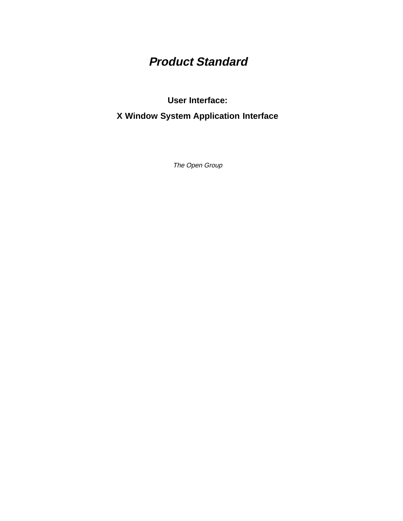# **Product Standard**

**User Interface:**

**X Window System Application Interface**

The Open Group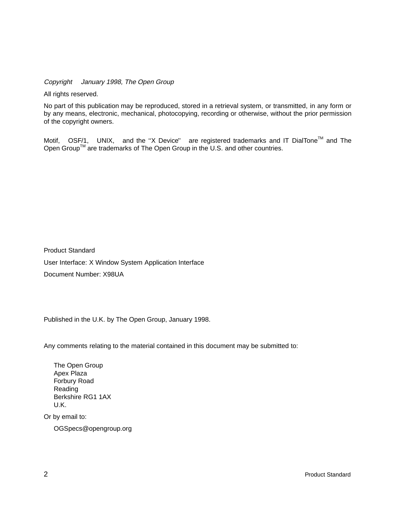Copyright  $\odot$  January 1998, The Open Group

All rights reserved.

No part of this publication may be reproduced, stored in a retrieval system, or transmitted, in any form or by any means, electronic, mechanical, photocopying, recording or otherwise, without the prior permission of the copyright owners.

Motif,  $^{\circledR}$  OSF/1,  $^{\circledR}$  UNIX,  $^{\circledR}$  and the "X Device" $^{\circledR}$  are registered trademarks and IT DialTone<sup>TM</sup> and The Open Group<sup>TM</sup> are trademarks of The Open Group in the U.S. and other countries.

Product Standard User Interface: X Window System Application Interface Document Number: X98UA

Published in the U.K. by The Open Group, January 1998.

Any comments relating to the material contained in this document may be submitted to:

The Open Group Apex Plaza Forbury Road Reading Berkshire RG1 1AX U.K.

Or by email to:

OGSpecs@opengroup.org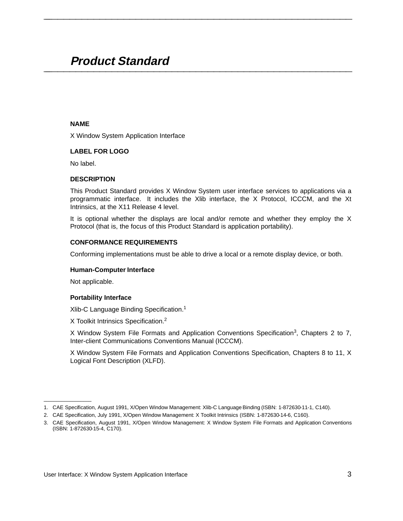# **Product Standard \_\_\_\_\_\_\_\_\_\_\_\_\_\_\_\_\_\_\_\_\_\_\_\_\_\_\_\_\_\_\_\_\_\_\_\_\_\_\_\_\_\_\_\_\_\_\_\_\_\_\_\_**

# **NAME**

X Window System Application Interface

# **LABEL FOR LOGO**

No label.

### **DESCRIPTION**

This Product Standard provides X Window System user interface services to applications via a programmatic interface. It includes the Xlib interface, the X Protocol, ICCCM, and the Xt Intrinsics, at the X11 Release 4 level.

**\_\_\_\_\_\_\_\_\_\_\_\_\_\_\_\_\_\_\_\_\_\_\_\_\_\_\_\_\_\_\_\_\_\_\_\_\_\_\_\_\_\_\_\_\_\_\_\_\_\_\_\_**

It is optional whether the displays are local and/or remote and whether they employ the X Protocol (that is, the focus of this Product Standard is application portability).

# **CONFORMANCE REQUIREMENTS**

Conforming implementations must be able to drive a local or a remote display device, or both.

#### **Human-Computer Interface**

Not applicable.

 $\mathcal{L}$  and  $\mathcal{L}$  are the set of the set of the set of the set of the set of the set of the set of the set of the set of the set of the set of the set of the set of the set of the set of the set of the set of the set

#### **Portability Interface**

Xlib-C Language Binding Specification.1

X Toolkit Intrinsics Specification.<sup>2</sup>

X Window System File Formats and Application Conventions Specification<sup>3</sup>, Chapters 2 to 7, Inter-client Communications Conventions Manual (ICCCM).

X Window System File Formats and Application Conventions Specification, Chapters 8 to 11, X Logical Font Description (XLFD).

<sup>1.</sup> CAE Specification, August 1991, X/Open Window Management: Xlib-C Language Binding (ISBN: 1-872630-11-1, C140).

<sup>2.</sup> CAE Specification, July 1991, X/Open Window Management: X Toolkit Intrinsics (ISBN: 1-872630-14-6, C160).

<sup>3.</sup> CAE Specification, August 1991, X/Open Window Management: X Window System File Formats and Application Conventions (ISBN: 1-872630-15-4, C170).